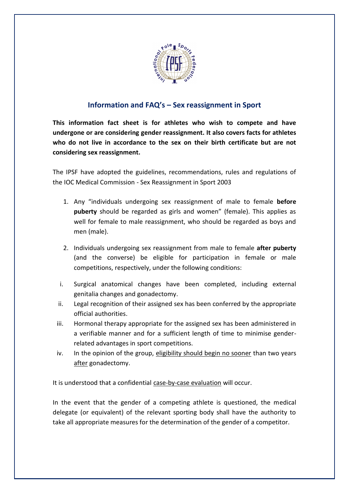

# **Information and FAQ's – Sex reassignment in Sport**

**This information fact sheet is for athletes who wish to compete and have undergone or are considering gender reassignment. It also covers facts for athletes who do not live in accordance to the sex on their birth certificate but are not considering sex reassignment.**

The IPSF have adopted the guidelines, recommendations, rules and regulations of the IOC Medical Commission - Sex Reassignment in Sport 2003

- 1. Any "individuals undergoing sex reassignment of male to female **before puberty** should be regarded as girls and women" (female). This applies as well for female to male reassignment, who should be regarded as boys and men (male).
- 2. Individuals undergoing sex reassignment from male to female **after puberty** (and the converse) be eligible for participation in female or male competitions, respectively, under the following conditions:
- i. Surgical anatomical changes have been completed, including external genitalia changes and gonadectomy.
- ii. Legal recognition of their assigned sex has been conferred by the appropriate official authorities.
- iii. Hormonal therapy appropriate for the assigned sex has been administered in a verifiable manner and for a sufficient length of time to minimise genderrelated advantages in sport competitions.
- iv. In the opinion of the group, eligibility should begin no sooner than two years after gonadectomy.

It is understood that a confidential case-by-case evaluation will occur.

In the event that the gender of a competing athlete is questioned, the medical delegate (or equivalent) of the relevant sporting body shall have the authority to take all appropriate measures for the determination of the gender of a competitor.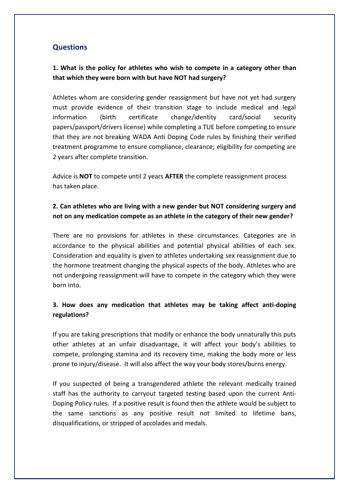### **Questions**

## **1. What is the policy for athletes who wish to compete in a category other than that which they were born with but have NOT had surgery?**

Athletes whom are considering gender reassignment but have not yet had surgery must provide evidence of their transition stage to include medical and legal information (birth certificate change/identity card/social security papers/passport/drivers license) while completing a TUE before competing to ensure that they are not breaking WADA Anti Doping Code rules by finishing their verified treatment programme to ensure compliance, clearance; eligibility for competing are 2 years after complete transition.

Advice is **NOT** to compete until 2 years **AFTER** the complete reassignment process has taken place.

### **2. Can athletes who are living with a new gender but NOT considering surgery and not on any medication compete as an athlete in the category of their new gender?**

There are no provisions for athletes in these circumstances. Categories are in accordance to the physical abilities and potential physical abilities of each sex. Consideration and equality is given to athletes undertaking sex reassignment due to the hormone treatment changing the physical aspects of the body. Athletes who are not undergoing reassignment will have to compete in the category which they were born into.

## **3. How does any medication that athletes may be taking affect anti-doping regulations?**

If you are taking prescriptions that modify or enhance the body unnaturally this puts other athletes at an unfair disadvantage, it will affect your body's abilities to compete, prolonging stamina and its recovery time, making the body more or less prone to injury/disease. It will also affect the way your body stores/burns energy.

If you suspected of being a transgendered athlete the relevant medically trained staff has the authority to carryout targeted testing based upon the current Anti-Doping Policy rules. If a positive result is found then the athlete would be subject to the same sanctions as any positive result not limited to lifetime bans, disqualifications, or stripped of accolades and medals.